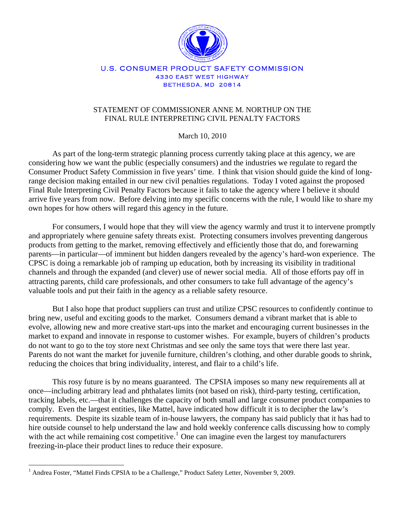

#### U.S. CONSUMER PRODUCT SAFETY COMMISSION 4330 EAST WEST HIGHWAY BETHESDA, MD 20814

# STATEMENT OF COMMISSIONER ANNE M. NORTHUP ON THE FINAL RULE INTERPRETING CIVIL PENALTY FACTORS

March 10, 2010

As part of the long-term strategic planning process currently taking place at this agency, we are considering how we want the public (especially consumers) and the industries we regulate to regard the Consumer Product Safety Commission in five years' time. I think that vision should guide the kind of longrange decision making entailed in our new civil penalties regulations. Today I voted against the proposed Final Rule Interpreting Civil Penalty Factors because it fails to take the agency where I believe it should arrive five years from now. Before delving into my specific concerns with the rule, I would like to share my own hopes for how others will regard this agency in the future.

For consumers, I would hope that they will view the agency warmly and trust it to intervene promptly and appropriately where genuine safety threats exist. Protecting consumers involves preventing dangerous products from getting to the market, removing effectively and efficiently those that do, and forewarning parents—in particular—of imminent but hidden dangers revealed by the agency's hard-won experience. The CPSC is doing a remarkable job of ramping up education, both by increasing its visibility in traditional channels and through the expanded (and clever) use of newer social media. All of those efforts pay off in attracting parents, child care professionals, and other consumers to take full advantage of the agency's valuable tools and put their faith in the agency as a reliable safety resource.

But I also hope that product suppliers can trust and utilize CPSC resources to confidently continue to bring new, useful and exciting goods to the market. Consumers demand a vibrant market that is able to evolve, allowing new and more creative start-ups into the market and encouraging current businesses in the market to expand and innovate in response to customer wishes. For example, buyers of children's products do not want to go to the toy store next Christmas and see only the same toys that were there last year. Parents do not want the market for juvenile furniture, children's clothing, and other durable goods to shrink, reducing the choices that bring individuality, interest, and flair to a child's life.

This rosy future is by no means guaranteed. The CPSIA imposes so many new requirements all at once—including arbitrary lead and phthalates limits (not based on risk), third-party testing, certification, tracking labels, etc.—that it challenges the capacity of both small and large consumer product companies to comply. Even the largest entities, like Mattel, have indicated how difficult it is to decipher the law's requirements. Despite its sizable team of in-house lawyers, the company has said publicly that it has had to hire outside counsel to help understand the law and hold weekly conference calls discussing how to comply with the act while remaining cost competitive.<sup>[1](#page-0-0)</sup> One can imagine even the largest toy manufacturers freezing-in-place their product lines to reduce their exposure.

 $\overline{a}$ 

<span id="page-0-0"></span><sup>&</sup>lt;sup>1</sup> Andrea Foster, "Mattel Finds CPSIA to be a Challenge," Product Safety Letter, November 9, 2009.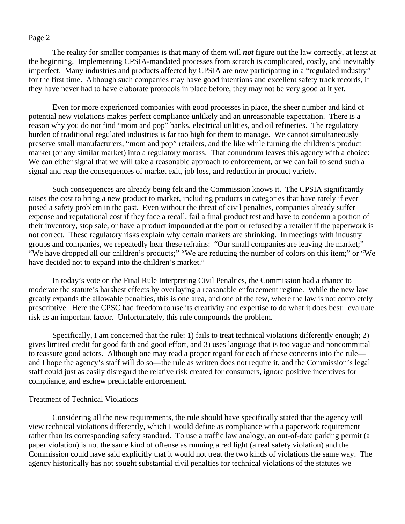The reality for smaller companies is that many of them will *not* figure out the law correctly, at least at the beginning. Implementing CPSIA-mandated processes from scratch is complicated, costly, and inevitably imperfect. Many industries and products affected by CPSIA are now participating in a "regulated industry" for the first time. Although such companies may have good intentions and excellent safety track records, if they have never had to have elaborate protocols in place before, they may not be very good at it yet.

Even for more experienced companies with good processes in place, the sheer number and kind of potential new violations makes perfect compliance unlikely and an unreasonable expectation. There is a reason why you do not find "mom and pop" banks, electrical utilities, and oil refineries. The regulatory burden of traditional regulated industries is far too high for them to manage. We cannot simultaneously preserve small manufacturers, "mom and pop" retailers, and the like while turning the children's product market (or any similar market) into a regulatory morass. That conundrum leaves this agency with a choice: We can either signal that we will take a reasonable approach to enforcement, or we can fail to send such a signal and reap the consequences of market exit, job loss, and reduction in product variety.

Such consequences are already being felt and the Commission knows it. The CPSIA significantly raises the cost to bring a new product to market, including products in categories that have rarely if ever posed a safety problem in the past. Even without the threat of civil penalties, companies already suffer expense and reputational cost if they face a recall, fail a final product test and have to condemn a portion of their inventory, stop sale, or have a product impounded at the port or refused by a retailer if the paperwork is not correct. These regulatory risks explain why certain markets are shrinking. In meetings with industry groups and companies, we repeatedly hear these refrains: "Our small companies are leaving the market;" "We have dropped all our children's products;" "We are reducing the number of colors on this item;" or "We have decided not to expand into the children's market."

In today's vote on the Final Rule Interpreting Civil Penalties, the Commission had a chance to moderate the statute's harshest effects by overlaying a reasonable enforcement regime. While the new law greatly expands the allowable penalties, this is one area, and one of the few, where the law is not completely prescriptive. Here the CPSC had freedom to use its creativity and expertise to do what it does best: evaluate risk as an important factor. Unfortunately, this rule compounds the problem.

Specifically, I am concerned that the rule: 1) fails to treat technical violations differently enough; 2) gives limited credit for good faith and good effort, and 3) uses language that is too vague and noncommittal to reassure good actors. Although one may read a proper regard for each of these concerns into the rule and I hope the agency's staff will do so—the rule as written does not require it, and the Commission's legal staff could just as easily disregard the relative risk created for consumers, ignore positive incentives for compliance, and eschew predictable enforcement.

### Treatment of Technical Violations

Considering all the new requirements, the rule should have specifically stated that the agency will view technical violations differently, which I would define as compliance with a paperwork requirement rather than its corresponding safety standard. To use a traffic law analogy, an out-of-date parking permit (a paper violation) is not the same kind of offense as running a red light (a real safety violation) and the Commission could have said explicitly that it would not treat the two kinds of violations the same way. The agency historically has not sought substantial civil penalties for technical violations of the statutes we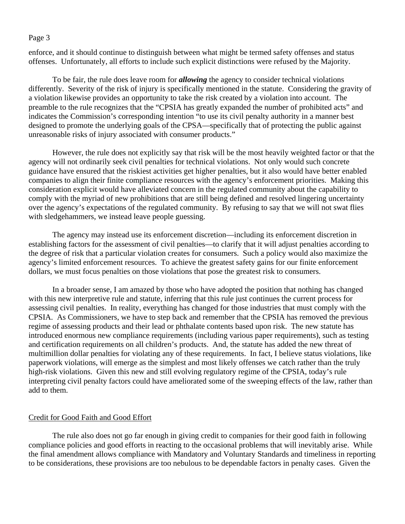enforce, and it should continue to distinguish between what might be termed safety offenses and status offenses. Unfortunately, all efforts to include such explicit distinctions were refused by the Majority.

To be fair, the rule does leave room for *allowing* the agency to consider technical violations differently. Severity of the risk of injury is specifically mentioned in the statute. Considering the gravity of a violation likewise provides an opportunity to take the risk created by a violation into account. The preamble to the rule recognizes that the "CPSIA has greatly expanded the number of prohibited acts" and indicates the Commission's corresponding intention "to use its civil penalty authority in a manner best designed to promote the underlying goals of the CPSA—specifically that of protecting the public against unreasonable risks of injury associated with consumer products."

However, the rule does not explicitly say that risk will be the most heavily weighted factor or that the agency will not ordinarily seek civil penalties for technical violations. Not only would such concrete guidance have ensured that the riskiest activities get higher penalties, but it also would have better enabled companies to align their finite compliance resources with the agency's enforcement priorities. Making this consideration explicit would have alleviated concern in the regulated community about the capability to comply with the myriad of new prohibitions that are still being defined and resolved lingering uncertainty over the agency's expectations of the regulated community. By refusing to say that we will not swat flies with sledgehammers, we instead leave people guessing.

The agency may instead use its enforcement discretion—including its enforcement discretion in establishing factors for the assessment of civil penalties—to clarify that it will adjust penalties according to the degree of risk that a particular violation creates for consumers. Such a policy would also maximize the agency's limited enforcement resources. To achieve the greatest safety gains for our finite enforcement dollars, we must focus penalties on those violations that pose the greatest risk to consumers.

In a broader sense, I am amazed by those who have adopted the position that nothing has changed with this new interpretive rule and statute, inferring that this rule just continues the current process for assessing civil penalties. In reality, everything has changed for those industries that must comply with the CPSIA. As Commissioners, we have to step back and remember that the CPSIA has removed the previous regime of assessing products and their lead or phthalate contents based upon risk. The new statute has introduced enormous new compliance requirements (including various paper requirements), such as testing and certification requirements on all children's products. And, the statute has added the new threat of multimillion dollar penalties for violating any of these requirements. In fact, I believe status violations, like paperwork violations, will emerge as the simplest and most likely offenses we catch rather than the truly high-risk violations. Given this new and still evolving regulatory regime of the CPSIA, today's rule interpreting civil penalty factors could have ameliorated some of the sweeping effects of the law, rather than add to them.

### Credit for Good Faith and Good Effort

The rule also does not go far enough in giving credit to companies for their good faith in following compliance policies and good efforts in reacting to the occasional problems that will inevitably arise. While the final amendment allows compliance with Mandatory and Voluntary Standards and timeliness in reporting to be considerations, these provisions are too nebulous to be dependable factors in penalty cases. Given the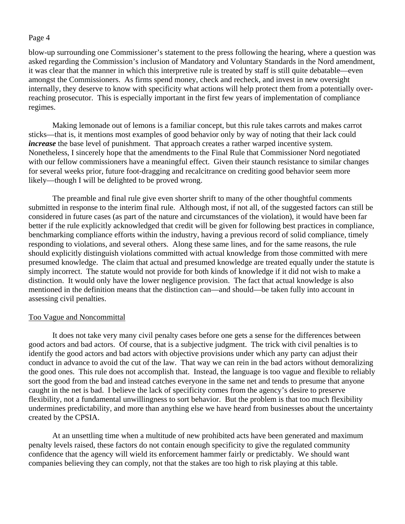blow-up surrounding one Commissioner's statement to the press following the hearing, where a question was asked regarding the Commission's inclusion of Mandatory and Voluntary Standards in the Nord amendment, it was clear that the manner in which this interpretive rule is treated by staff is still quite debatable—even amongst the Commissioners. As firms spend money, check and recheck, and invest in new oversight internally, they deserve to know with specificity what actions will help protect them from a potentially overreaching prosecutor. This is especially important in the first few years of implementation of compliance regimes.

Making lemonade out of lemons is a familiar concept, but this rule takes carrots and makes carrot sticks—that is, it mentions most examples of good behavior only by way of noting that their lack could *increase* the base level of punishment. That approach creates a rather warped incentive system. Nonetheless, I sincerely hope that the amendments to the Final Rule that Commissioner Nord negotiated with our fellow commissioners have a meaningful effect. Given their staunch resistance to similar changes for several weeks prior, future foot-dragging and recalcitrance on crediting good behavior seem more likely—though I will be delighted to be proved wrong.

The preamble and final rule give even shorter shrift to many of the other thoughtful comments submitted in response to the interim final rule. Although most, if not all, of the suggested factors can still be considered in future cases (as part of the nature and circumstances of the violation), it would have been far better if the rule explicitly acknowledged that credit will be given for following best practices in compliance, benchmarking compliance efforts within the industry, having a previous record of solid compliance, timely responding to violations, and several others. Along these same lines, and for the same reasons, the rule should explicitly distinguish violations committed with actual knowledge from those committed with mere presumed knowledge. The claim that actual and presumed knowledge are treated equally under the statute is simply incorrect. The statute would not provide for both kinds of knowledge if it did not wish to make a distinction. It would only have the lower negligence provision. The fact that actual knowledge is also mentioned in the definition means that the distinction can—and should—be taken fully into account in assessing civil penalties.

#### Too Vague and Noncommittal

 It does not take very many civil penalty cases before one gets a sense for the differences between good actors and bad actors. Of course, that is a subjective judgment. The trick with civil penalties is to identify the good actors and bad actors with objective provisions under which any party can adjust their conduct in advance to avoid the cut of the law. That way we can rein in the bad actors without demoralizing the good ones. This rule does not accomplish that. Instead, the language is too vague and flexible to reliably sort the good from the bad and instead catches everyone in the same net and tends to presume that anyone caught in the net is bad. I believe the lack of specificity comes from the agency's desire to preserve flexibility, not a fundamental unwillingness to sort behavior. But the problem is that too much flexibility undermines predictability, and more than anything else we have heard from businesses about the uncertainty created by the CPSIA.

At an unsettling time when a multitude of new prohibited acts have been generated and maximum penalty levels raised, these factors do not contain enough specificity to give the regulated community confidence that the agency will wield its enforcement hammer fairly or predictably. We should want companies believing they can comply, not that the stakes are too high to risk playing at this table.